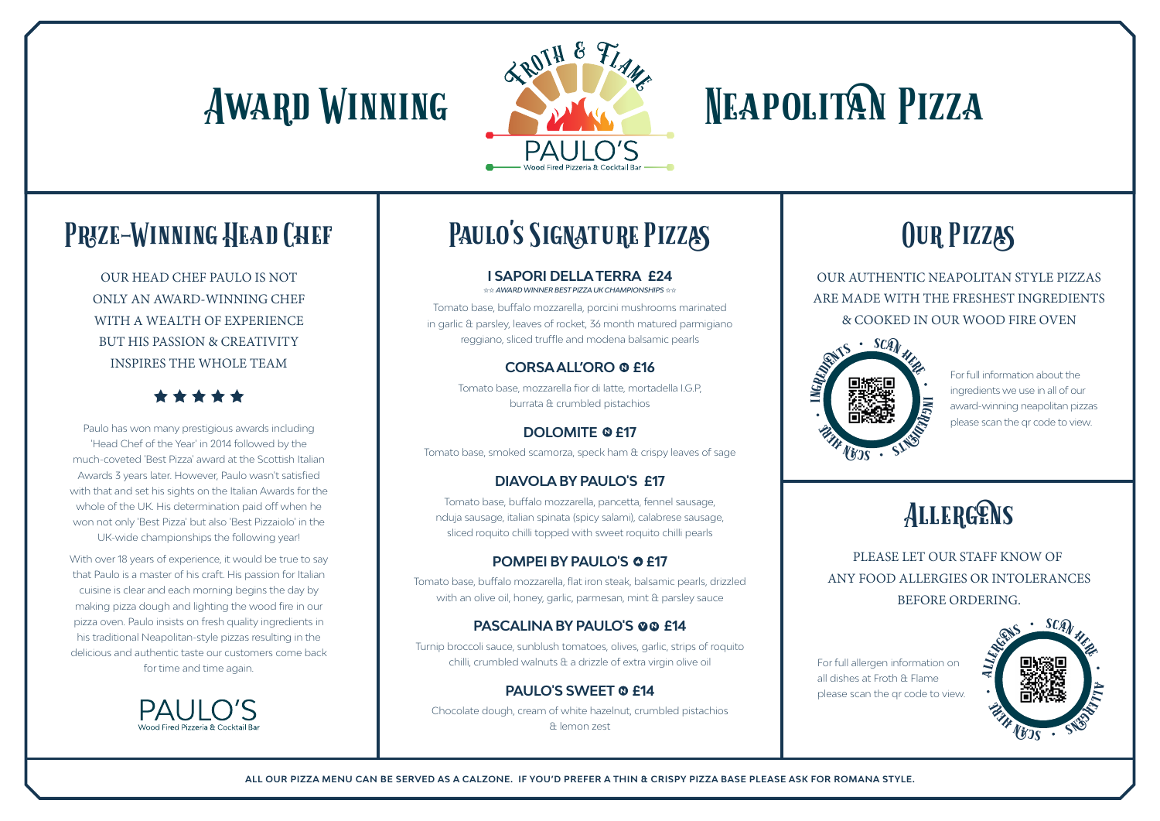# AWARD WINNING ANG NEAPOLITAN PIZZA



## PRIZE-WINNING HEAD CHEF

OUR HEAD CHEF PAULO IS NOT ONLY AN AWARD-WINNING CHEF WITH A WEALTH OF EXPERIENCE BUT HIS PASSION & CREATIVITY INSPIRES THE WHOLE TEAM

Paulo has won many prestigious awards including 'Head Chef of the Year' in 2014 followed by the much-coveted 'Best Pizza' award at the Scottish Italian Awards 3 years later. However, Paulo wasn't satisfied with that and set his sights on the Italian Awards for the whole of the UK. His determination paid off when he won not only 'Best Pizza' but also 'Best Pizzaiolo' in the UK-wide championships the following year!

With over 18 years of experience, it would be true to say that Paulo is a master of his craft. His passion for Italian cuisine is clear and each morning begins the day by making pizza dough and lighting the wood fire in our pizza oven. Paulo insists on fresh quality ingredients in his traditional Neapolitan-style pizzas resulting in the delicious and authentic taste our customers come back for time and time again.



# PAULO'S SIGNATURE PIZZAS

OUR AUTHENTIC NEAPOLITAN STYLE PIZZAS ARE MADE WITH THE FRESHEST INGREDIENTS & COOKED IN OUR WOOD FIRE OVEN

> For full information about the ingredients we use in all of our award-winning neapolitan pizzas please scan the qr code to view.

# ALLERGENS



# OUR PIZZAS

### **I SAPORI DELLA TERRA £24**

✩✩ *AWARD WINNER BEST PIZZA UK CHAMPIONSHIPS* ✩✩

Tomato base, buffalo mozzarella, porcini mushrooms marinated in garlic & parsley, leaves of rocket, 36 month matured parmigiano reggiano, sliced truffle and modena balsamic pearls

## **CORSA ALL'ORO ® £16**

Tomato base, mozzarella fior di latte, mortadella I.G.P, burrata & crumbled pistachios

## **DOLOMITE © £17**

Tomato base, smoked scamorza, speck ham & crispy leaves of sage

## **DIAVOLA BY PAULO'S £17**

Tomato base, buffalo mozzarella, pancetta, fennel sausage, nduja sausage, italian spinata (spicy salami), calabrese sausage, sliced roquito chilli topped with sweet roquito chilli pearls

## **POMPEI BY PAULO'S @ £17**

Tomato base, buffalo mozzarella, flat iron steak, balsamic pearls, drizzled with an olive oil, honey, garlic, parmesan, mint & parsley sauce

## **PASCALINA BY PAULO'S OO £14**

Turnip broccoli sauce, sunblush tomatoes, olives, garlic, strips of roquito chilli, crumbled walnuts & a drizzle of extra virgin olive oil

## **PAULO'S SWEET @ £14**

Chocolate dough, cream of white hazelnut, crumbled pistachios & lemon zest



PLEASE LET OUR STAFF KNOW OF ANY FOOD ALLERGIES OR INTOLERANCES BEFORE ORDERING.

For full allergen information on all dishes at Froth & Flame please scan the qr code to view.